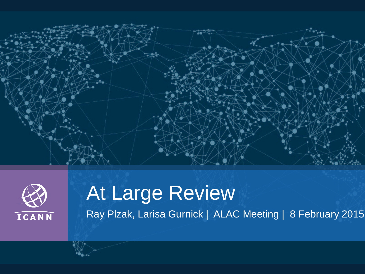



# At Large Review Ray Plzak, Larisa Gurnick | ALAC Meeting | 8 February 2015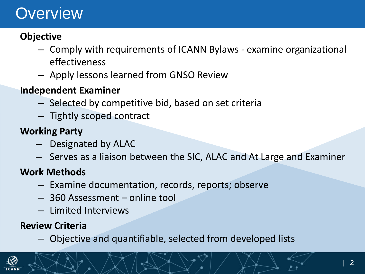## **Overview**

#### **Objective**

- Comply with requirements of ICANN Bylaws examine organizational effectiveness
- Apply lessons learned from GNSO Review

#### **Independent Examiner**

- Selected by competitive bid, based on set criteria
- Tightly scoped contract

#### **Working Party**

- Designated by ALAC
- Serves as a liaison between the SIC, ALAC and At Large and Examiner

#### **Work Methods**

- Examine documentation, records, reports; observe
- 360 Assessment online tool
- Limited Interviews

#### **Review Criteria**

– Objective and quantifiable, selected from developed lists

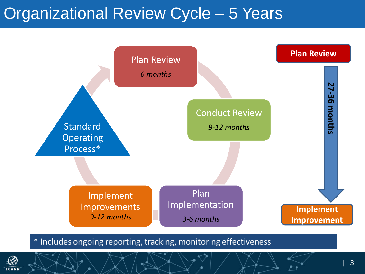### Organizational Review Cycle – 5 Years



\* Includes ongoing reporting, tracking, monitoring effectiveness

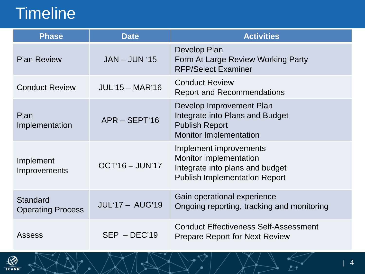## **Timeline**

| <b>Phase</b>                         | <b>Date</b>            | <b>Activities</b>                                                                                                                  |  |
|--------------------------------------|------------------------|------------------------------------------------------------------------------------------------------------------------------------|--|
| <b>Plan Review</b>                   | $JAN - JUN '15$        | Develop Plan<br>Form At Large Review Working Party<br><b>RFP/Select Examiner</b>                                                   |  |
| <b>Conduct Review</b>                | $JUL'15 - MAR'16$      | <b>Conduct Review</b><br><b>Report and Recommendations</b>                                                                         |  |
| Plan<br>Implementation               | $APR - SEPT'16$        | Develop Improvement Plan<br>Integrate into Plans and Budget<br><b>Publish Report</b><br>Monitor Implementation                     |  |
| Implement<br>Improvements            | $OCT'16 - JUN'17$      | Implement improvements<br><b>Monitor implementation</b><br>Integrate into plans and budget<br><b>Publish Implementation Report</b> |  |
| Standard<br><b>Operating Process</b> | <b>JUL'17 - AUG'19</b> | Gain operational experience<br>Ongoing reporting, tracking and monitoring                                                          |  |
| Assess                               | $SEP - DEC'19$         | <b>Conduct Effectiveness Self-Assessment</b><br><b>Prepare Report for Next Review</b>                                              |  |

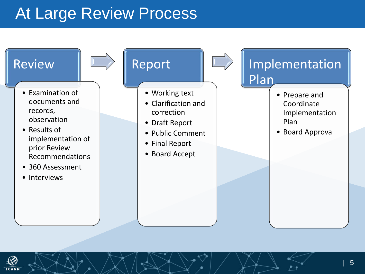### At Large Review Process



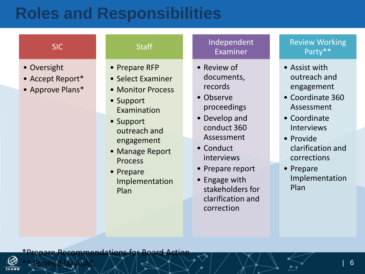### **Roles and Responsibilities**

| <b>SIC</b>                                          | <b>Staff</b>                                                                                                                                                                     | Inde<br>Exa                                                                                                              |
|-----------------------------------------------------|----------------------------------------------------------------------------------------------------------------------------------------------------------------------------------|--------------------------------------------------------------------------------------------------------------------------|
| • Oversight<br>• Accept Report*<br>• Approve Plans* | • Prepare RFP<br>• Select Examiner<br>• Monitor Process<br>• Support<br>Examination<br>• Support<br>outreach and<br>engagement<br>• Manage Report<br><b>Process</b><br>• Prepare | • Reviev<br>docum<br>record<br>• Obser<br>procee<br>• Develo<br>condu<br><b>Assess</b><br>• Condu<br>intervi<br>• Prepar |

Plan

Implementation

#### pendent  $iminer$

- $\boldsymbol{\mathsf{v}}$  of nents, records
- ve edings
- pp and  $ct$  360 sment
- ict. iews
- re report
- Engage with stakeholders for clarification and correction

#### Review Working Party\*\*

- Assist with outreach and engagement
- Coordinate 360 Assessment
- Coordinate Interviews
- Provide clarification and corrections
- Prepare Implementation Plan

**Recommendations for Board** 



\*\* Formed by ALAC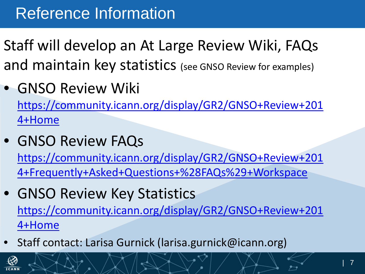## Reference Information

- Staff will develop an At Large Review Wiki, FAQs and maintain key statistics (see GNSO Review for examples)
- GNSO Review Wiki

[https://community.icann.org/display/GR2/GNSO+Review+201](https://community.icann.org/display/GR2/GNSO+Review+2014+Home) [4+Home](https://community.icann.org/display/GR2/GNSO+Review+2014+Home)

• GNSO Review FAQs

[https://community.icann.org/display/GR2/GNSO+Review+201](https://community.icann.org/display/GR2/GNSO+Review+2014+Frequently+Asked+Questions+(FAQs)+Workspace) [4+Frequently+Asked+Questions+%28FAQs%29+Workspace](https://community.icann.org/display/GR2/GNSO+Review+2014+Frequently+Asked+Questions+(FAQs)+Workspace)

- GNSO Review Key Statistics [https://community.icann.org/display/GR2/GNSO+Review+201](https://community.icann.org/display/GR2/GNSO+Review+2014+Home) [4+Home](https://community.icann.org/display/GR2/GNSO+Review+2014+Home)
- Staff contact: Larisa Gurnick (larisa.gurnick@icann.org)